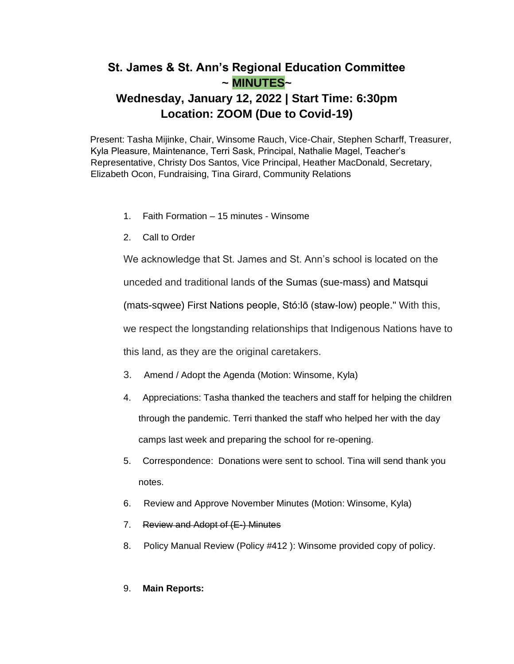## **St. James & St. Ann's Regional Education Committee ~ MINUTES~**

# **Wednesday, January 12, 2022 | Start Time: 6:30pm Location: ZOOM (Due to Covid-19)**

Present: Tasha Mijinke, Chair, Winsome Rauch, Vice-Chair, Stephen Scharff, Treasurer, Kyla Pleasure, Maintenance, Terri Sask, Principal, Nathalie Magel, Teacher's Representative, Christy Dos Santos, Vice Principal, Heather MacDonald, Secretary, Elizabeth Ocon, Fundraising, Tina Girard, Community Relations

- 1. Faith Formation 15 minutes Winsome
- 2. Call to Order

We acknowledge that St. James and St. Ann's school is located on the

unceded and traditional lands of the Sumas (sue-mass) and Matsqui

(mats-sqwee) First Nations people, Stó:lō (staw-low) people." With this,

we respect the longstanding relationships that Indigenous Nations have to

this land, as they are the original caretakers.

- 3. Amend / Adopt the Agenda (Motion: Winsome, Kyla)
- 4. Appreciations: Tasha thanked the teachers and staff for helping the children through the pandemic. Terri thanked the staff who helped her with the day camps last week and preparing the school for re-opening.
- 5. Correspondence: Donations were sent to school. Tina will send thank you notes.
- 6. Review and Approve November Minutes (Motion: Winsome, Kyla)
- 7. Review and Adopt of (E-) Minutes
- 8. Policy Manual Review (Policy #412 ): Winsome provided copy of policy.

### 9. **Main Reports:**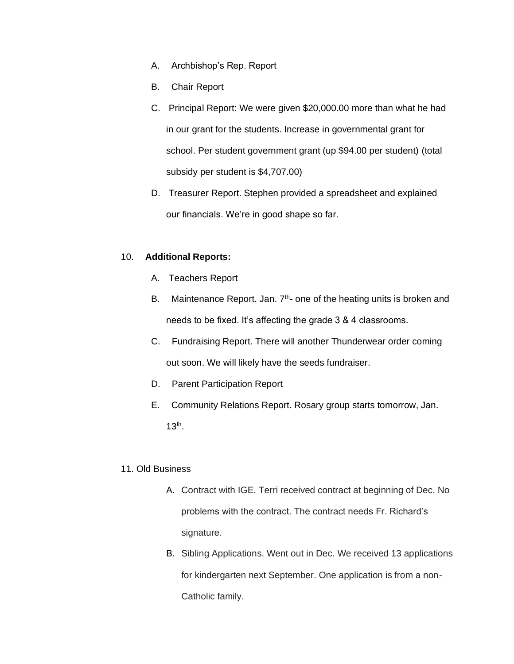- A. Archbishop's Rep. Report
- B. Chair Report
- C. Principal Report: We were given \$20,000.00 more than what he had in our grant for the students. Increase in governmental grant for school. Per student government grant (up \$94.00 per student) (total subsidy per student is \$4,707.00)
- D. Treasurer Report. Stephen provided a spreadsheet and explained our financials. We're in good shape so far.

#### 10. **Additional Reports:**

- A. Teachers Report
- B. Maintenance Report. Jan.  $7<sup>th</sup>$  one of the heating units is broken and needs to be fixed. It's affecting the grade 3 & 4 classrooms.
- C. Fundraising Report. There will another Thunderwear order coming out soon. We will likely have the seeds fundraiser.
- D. Parent Participation Report
- E. Community Relations Report. Rosary group starts tomorrow, Jan.  $13<sup>th</sup>$ .

#### 11. Old Business

- A. Contract with IGE. Terri received contract at beginning of Dec. No problems with the contract. The contract needs Fr. Richard's signature.
- B. Sibling Applications. Went out in Dec. We received 13 applications for kindergarten next September. One application is from a non-Catholic family.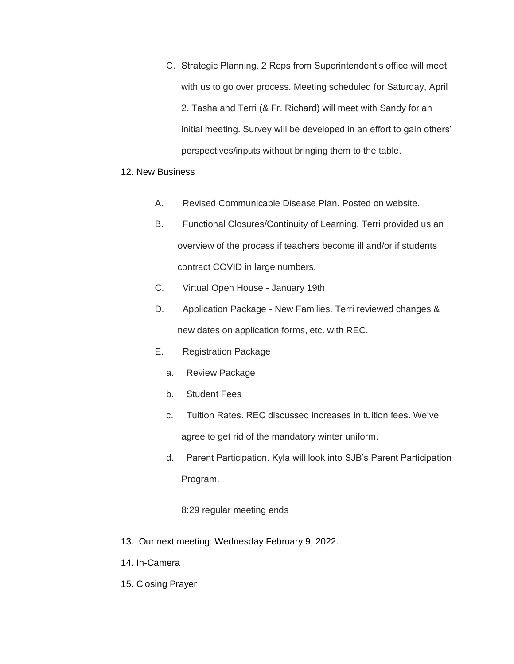C. Strategic Planning. 2 Reps from Superintendent's office will meet with us to go over process. Meeting scheduled for Saturday, April 2. Tasha and Terri (& Fr. Richard) will meet with Sandy for an initial meeting. Survey will be developed in an effort to gain others' perspectives/inputs without bringing them to the table.

#### 12. New Business

- A. Revised Communicable Disease Plan. Posted on website.
- B. Functional Closures/Continuity of Learning. Terri provided us an overview of the process if teachers become ill and/or if students contract COVID in large numbers.
- C. Virtual Open House January 19th
- D. Application Package New Families. Terri reviewed changes & new dates on application forms, etc. with REC.
- E. Registration Package
	- a. Review Package
	- b. Student Fees
	- c. Tuition Rates. REC discussed increases in tuition fees. We've agree to get rid of the mandatory winter uniform.
	- d. Parent Participation. Kyla will look into SJB's Parent Participation Program.

8:29 regular meeting ends

- 13. Our next meeting: Wednesday February 9, 2022.
- 14. In-Camera
- 15. Closing Prayer